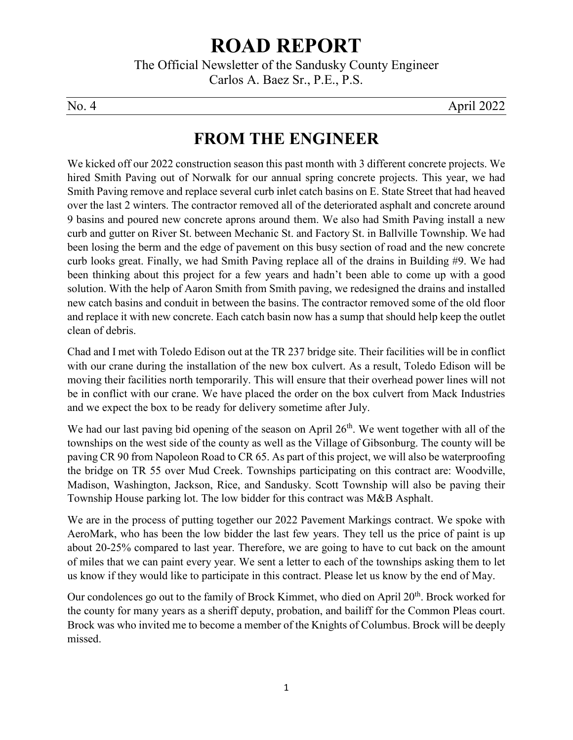# **ROAD REPORT**

The Official Newsletter of the Sandusky County Engineer Carlos A. Baez Sr., P.E., P.S.

No. 4 April 2022

# **FROM THE ENGINEER**

We kicked off our 2022 construction season this past month with 3 different concrete projects. We hired Smith Paving out of Norwalk for our annual spring concrete projects. This year, we had Smith Paving remove and replace several curb inlet catch basins on E. State Street that had heaved over the last 2 winters. The contractor removed all of the deteriorated asphalt and concrete around 9 basins and poured new concrete aprons around them. We also had Smith Paving install a new curb and gutter on River St. between Mechanic St. and Factory St. in Ballville Township. We had been losing the berm and the edge of pavement on this busy section of road and the new concrete curb looks great. Finally, we had Smith Paving replace all of the drains in Building #9. We had been thinking about this project for a few years and hadn't been able to come up with a good solution. With the help of Aaron Smith from Smith paving, we redesigned the drains and installed new catch basins and conduit in between the basins. The contractor removed some of the old floor and replace it with new concrete. Each catch basin now has a sump that should help keep the outlet clean of debris.

Chad and I met with Toledo Edison out at the TR 237 bridge site. Their facilities will be in conflict with our crane during the installation of the new box culvert. As a result, Toledo Edison will be moving their facilities north temporarily. This will ensure that their overhead power lines will not be in conflict with our crane. We have placed the order on the box culvert from Mack Industries and we expect the box to be ready for delivery sometime after July.

We had our last paving bid opening of the season on April  $26<sup>th</sup>$ . We went together with all of the townships on the west side of the county as well as the Village of Gibsonburg. The county will be paving CR 90 from Napoleon Road to CR 65. As part of this project, we will also be waterproofing the bridge on TR 55 over Mud Creek. Townships participating on this contract are: Woodville, Madison, Washington, Jackson, Rice, and Sandusky. Scott Township will also be paving their Township House parking lot. The low bidder for this contract was M&B Asphalt.

We are in the process of putting together our 2022 Pavement Markings contract. We spoke with AeroMark, who has been the low bidder the last few years. They tell us the price of paint is up about 20-25% compared to last year. Therefore, we are going to have to cut back on the amount of miles that we can paint every year. We sent a letter to each of the townships asking them to let us know if they would like to participate in this contract. Please let us know by the end of May.

Our condolences go out to the family of Brock Kimmet, who died on April 20<sup>th</sup>. Brock worked for the county for many years as a sheriff deputy, probation, and bailiff for the Common Pleas court. Brock was who invited me to become a member of the Knights of Columbus. Brock will be deeply missed.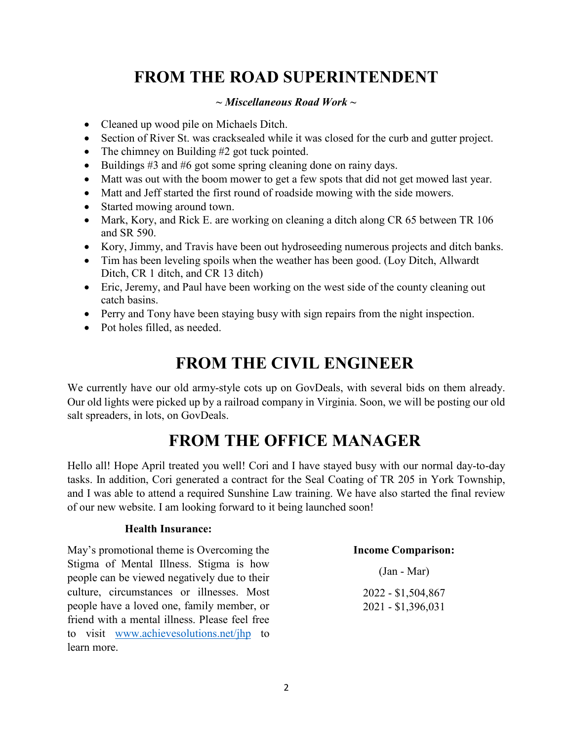# **FROM THE ROAD SUPERINTENDENT**

### *~ Miscellaneous Road Work ~*

- Cleaned up wood pile on Michaels Ditch.
- Section of River St. was cracksealed while it was closed for the curb and gutter project.
- The chimney on Building #2 got tuck pointed.
- Buildings  $#3$  and  $#6$  got some spring cleaning done on rainy days.
- Matt was out with the boom mower to get a few spots that did not get mowed last year.
- Matt and Jeff started the first round of roadside mowing with the side mowers.
- Started mowing around town.
- Mark, Kory, and Rick E. are working on cleaning a ditch along CR 65 between TR 106 and SR 590.
- Kory, Jimmy, and Travis have been out hydroseeding numerous projects and ditch banks.
- Tim has been leveling spoils when the weather has been good. (Loy Ditch, Allwardt Ditch, CR 1 ditch, and CR 13 ditch)
- Eric, Jeremy, and Paul have been working on the west side of the county cleaning out catch basins.
- Perry and Tony have been staying busy with sign repairs from the night inspection.
- Pot holes filled, as needed.

### **FROM THE CIVIL ENGINEER**

We currently have our old army-style cots up on GovDeals, with several bids on them already. Our old lights were picked up by a railroad company in Virginia. Soon, we will be posting our old salt spreaders, in lots, on GovDeals.

### **FROM THE OFFICE MANAGER**

Hello all! Hope April treated you well! Cori and I have stayed busy with our normal day-to-day tasks. In addition, Cori generated a contract for the Seal Coating of TR 205 in York Township, and I was able to attend a required Sunshine Law training. We have also started the final review of our new website. I am looking forward to it being launched soon!

#### **Health Insurance:**

May's promotional theme is Overcoming the Stigma of Mental Illness. Stigma is how people can be viewed negatively due to their culture, circumstances or illnesses. Most people have a loved one, family member, or friend with a mental illness. Please feel free to visit [www.achievesolutions.net/jhp](https://protect-us.mimecast.com/s/LRCrCJ6xorhK86PHGw696?domain=achievesolutions.net) to learn more.

#### **Income Comparison:**

(Jan - Mar) 2022 - \$1,504,867 2021 - \$1,396,031